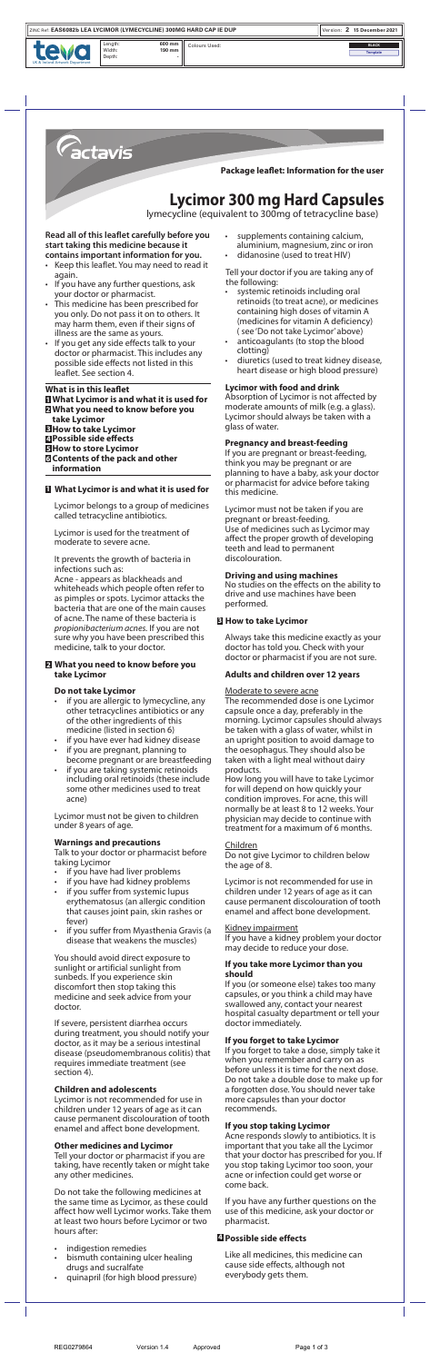- if you are allergic to lymecycline, any other tetracyclines antibiotics or any of the other ingredients of this medicine (listed in section 6)
- if you have ever had kidney disease
- if you are pregnant, planning to become pregnant or are breastfeeding
- if you are taking systemic retinoids including oral retinoids (these include some other medicines used to treat acne)

Acne - appears as blackheads and whiteheads which people often refer to as pimples or spots. Lycimor attacks the bacteria that are one of the main causes of acne. The name of these bacteria is *propionibacterium acnes.* If you are not sure why you have been prescribed this medicine, talk to your doctor.

## **What you need to know before you 2 take Lycimor**

## **Do not take Lycimor**

Lycimor must not be given to children under 8 years of age.

## **Warnings and precautions**

Talk to your doctor or pharmacist before taking Lycimor

- if you have had liver problems
- if you have had kidney problems
- if you suffer from systemic lupus erythematosus (an allergic condition that causes joint pain, skin rashes or fever)
- if you suffer from Myasthenia Gravis (a disease that weakens the muscles)

You should avoid direct exposure to sunlight or artificial sunlight from sunbeds. If you experience skin discomfort then stop taking this medicine and seek advice from your doctor.

If severe, persistent diarrhea occurs during treatment, you should notify your doctor, as it may be a serious intestinal disease (pseudomembranous colitis) that requires immediate treatment (see section 4).

## **Children and adolescents**

Lycimor is not recommended for use in children under 12 years of age as it can cause permanent discolouration of tooth enamel and affect bone development.

## **Other medicines and Lycimor**

Tell your doctor or pharmacist if you are taking, have recently taken or might take any other medicines.

Do not take the following medicines at the same time as Lycimor, as these could affect how well Lycimor works. Take them at least two hours before Lycimor or two hours after:

- indigestion remedies
- bismuth containing ulcer healing

#### drugs and sucralfate • quinapril (for high blood pressure)

REG0279864 Version 1.4 Approved Page 1 of 3





No studies on the effects on the ability to drive and use machines have been

performed.

Always take this medicine exactly as your doctor has told you. Check with your doctor or pharmacist if you are not sure.

# **Adults and children over 12 years**

### Moderate to severe acne

The recommended dose is one Lycimor capsule once a day, preferably in the morning. Lycimor capsules should always be taken with a glass of water, whilst in an upright position to avoid damage to the oesophagus. They should also be taken with a light meal without dairy products.

How long you will have to take Lycimor for will depend on how quickly your condition improves. For acne, this will normally be at least 8 to 12 weeks. Your physician may decide to continue with treatment for a maximum of 6 months.

## Children

Do not give Lycimor to children below the age of 8.

Lycimor is not recommended for use in children under 12 years of age as it can cause permanent discolouration of tooth enamel and affect bone development.

## Kidney impairment

If you have a kidney problem your doctor may decide to reduce your dose.

### **If you take more Lycimor than you should**

If you (or someone else) takes too many capsules, or you think a child may have swallowed any, contact your nearest hospital casualty department or tell your doctor immediately.

## **If you forget to take Lycimor**

If you forget to take a dose, simply take it when you remember and carry on as before unless it is time for the next dose. Do not take a double dose to make up for a forgotten dose. You should never take more capsules than your doctor recommends.

# **If you stop taking Lycimor**

Acne responds slowly to antibiotics. It is important that you take all the Lycimor that your doctor has prescribed for you. If you stop taking Lycimor too soon, your acne or infection could get worse or come back.

If you have any further questions on the use of this medicine, ask your doctor or pharmacist.

Like all medicines, this medicine can cause side effects, although not everybody gets them.



## **How to take Lycimor 3**

# **Possible side effects 4**



Width: Depth: **600 mm 190 mm -**

UK & Ireland Artwork Department

Length: 600 mm  $\Big|\Big|$  Colours Used: